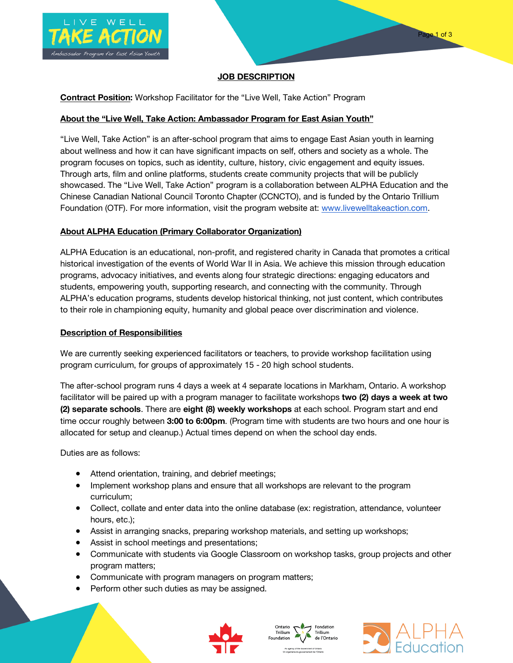

# **JOB DESCRIPTION**

# **Contract Position:** Workshop Facilitator for the "Live Well, Take Action" Program

## **About the "Live Well, Take Action: Ambassador Program for East Asian Youth"**

"Live Well, Take Action" is an after-school program that aims to engage East Asian youth in learning about wellness and how it can have significant impacts on self, others and society as a whole. The program focuses on topics, such as identity, culture, history, civic engagement and equity issues. Through arts, film and online platforms, students create community projects that will be publicly showcased. The "Live Well, Take Action" program is a collaboration between ALPHA Education and the Chinese Canadian National Council Toronto Chapter (CCNCTO), and is funded by the Ontario Trillium Foundation (OTF). For more information, visit the program website at: www.livewelltakeaction.com.

## **About ALPHA Education (Primary Collaborator Organization)**

ALPHA Education is an educational, non-profit, and registered charity in Canada that promotes a critical historical investigation of the events of World War II in Asia. We achieve this mission through education programs, advocacy initiatives, and events along four strategic directions: engaging educators and students, empowering youth, supporting research, and connecting with the community. Through ALPHA's education programs, students develop historical thinking, not just content, which contributes to their role in championing equity, humanity and global peace over discrimination and violence.

#### **Description of Responsibilities**

We are currently seeking experienced facilitators or teachers, to provide workshop facilitation using program curriculum, for groups of approximately 15 - 20 high school students.

The after-school program runs 4 days a week at 4 separate locations in Markham, Ontario. A workshop facilitator will be paired up with a program manager to facilitate workshops **two (2) days a week at two (2) separate schools**. There are **eight (8) weekly workshops** at each school. Program start and end time occur roughly between **3:00 to 6:00pm**. (Program time with students are two hours and one hour is allocated for setup and cleanup.) Actual times depend on when the school day ends.

Duties are as follows:

- Attend orientation, training, and debrief meetings;
- Implement workshop plans and ensure that all workshops are relevant to the program curriculum;
- Collect, collate and enter data into the online database (ex: registration, attendance, volunteer hours, etc.);
- Assist in arranging snacks, preparing workshop materials, and setting up workshops;
- Assist in school meetings and presentations;
- Communicate with students via Google Classroom on workshop tasks, group projects and other program matters;
- Communicate with program managers on program matters;
- Perform other such duties as may be assigned.





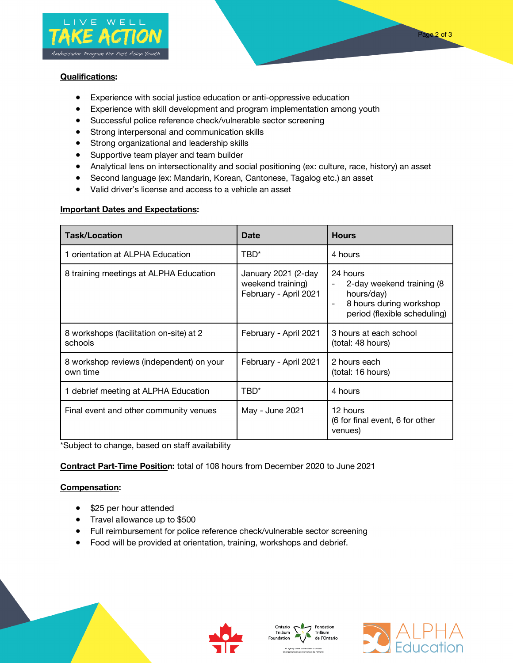



## **Qualifications:**

- Experience with social justice education or anti-oppressive education
- Experience with skill development and program implementation among youth
- Successful police reference check/vulnerable sector screening
- Strong interpersonal and communication skills
- Strong organizational and leadership skills
- Supportive team player and team builder
- Analytical lens on intersectionality and social positioning (ex: culture, race, history) an asset
- Second language (ex: Mandarin, Korean, Cantonese, Tagalog etc.) an asset
- Valid driver's license and access to a vehicle an asset

# **Important Dates and Expectations:**

| <b>Task/Location</b>                                 | <b>Date</b>                                                       | <b>Hours</b>                                                                                                                                |
|------------------------------------------------------|-------------------------------------------------------------------|---------------------------------------------------------------------------------------------------------------------------------------------|
| 1 orientation at ALPHA Education                     | TBD*                                                              | 4 hours                                                                                                                                     |
| 8 training meetings at ALPHA Education               | January 2021 (2-day<br>weekend training)<br>February - April 2021 | 24 hours<br>2-day weekend training (8)<br>hours/day)<br>8 hours during workshop<br>$\overline{\phantom{a}}$<br>period (flexible scheduling) |
| 8 workshops (facilitation on-site) at 2<br>schools   | February - April 2021                                             | 3 hours at each school<br>(total: 48 hours)                                                                                                 |
| 8 workshop reviews (independent) on your<br>own time | February - April 2021                                             | 2 hours each<br>(total: 16 hours)                                                                                                           |
| 1 debrief meeting at ALPHA Education                 | TBD*                                                              | 4 hours                                                                                                                                     |
| Final event and other community venues               | May - June 2021                                                   | 12 hours<br>(6 for final event, 6 for other<br>venues)                                                                                      |

\*Subject to change, based on staff availability

**Contract Part-Time Position:** total of 108 hours from December 2020 to June 2021

# **Compensation:**

- \$25 per hour attended
- Travel allowance up to \$500
- Full reimbursement for police reference check/vulnerable sector screening
- Food will be provided at orientation, training, workshops and debrief.